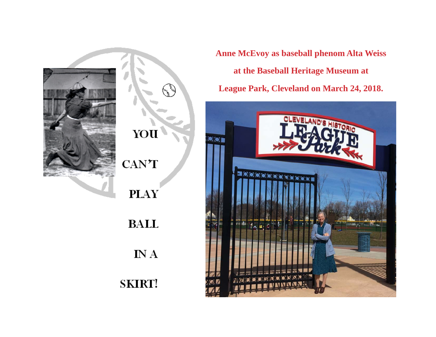

**Anne McEvoy as baseball phenom Alta Weiss at the Baseball Heritage Museum at League Park, Cleveland on March 24, 2018.** 

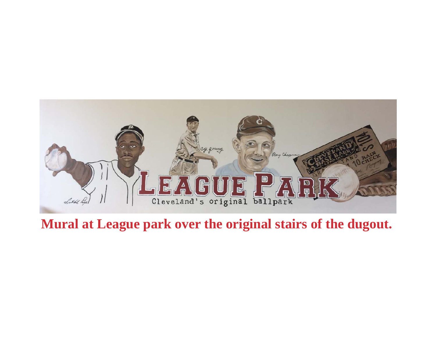

## **Mural at League park over the original stairs of the dugout.**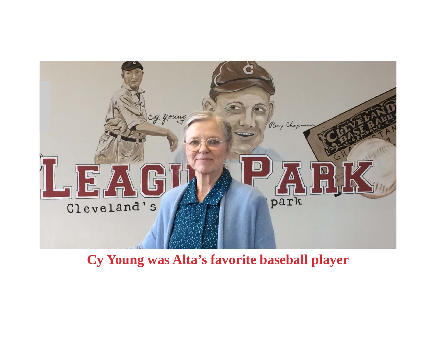

**Cy Young was Alta's favorite baseball player**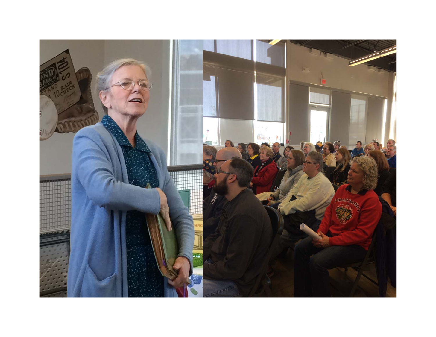